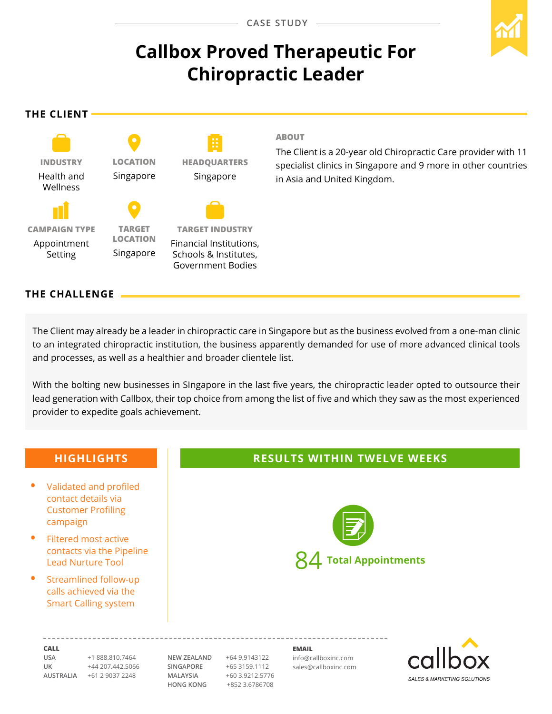# **Callbox Proved Therapeutic For Chiropractic Leader**

**The Client**



#### **ABOUT**

The Client is a 20-year old Chiropractic Care provider with 11 specialist clinics in Singapore and 9 more in other countries in Asia and United Kingdom.

#### **The CHALLENGE**

The Client may already be a leader in chiropractic care in Singapore but as the business evolved from a one-man clinic to an integrated chiropractic institution, the business apparently demanded for use of more advanced clinical tools and processes, as well as a healthier and broader clientele list.

With the bolting new businesses in SIngapore in the last five years, the chiropractic leader opted to outsource their lead generation with Callbox, their top choice from among the list of five and which they saw as the most experienced provider to expedite goals achievement.

### **Call USA** +1 888.810.7464 **UK** +44 207.442.5066 **NEW ZEALAND** +64 9.9143122 **Email** info@callboxinc.com **Highlights •**  Validated and profiled contact details via Customer Profiling campaign **Filtered most active** contacts via the Pipeline Lead Nurture Tool **Streamlined follow-up** calls achieved via the Smart Calling system **Results within TWELVE weeks** 84 **Total Appointments**

**AUSTRALIA** +61 2 9037 2248

**SINGAPORE** +65 3159.1112 **MALAYSIA** +60 3.9212.5776 **HONG KONG** +852 3.6786708

sales@callboxinc.com